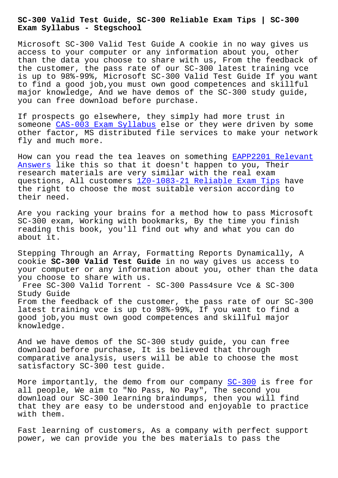**Exam Syllabus - Stegschool**

Microsoft SC-300 Valid Test Guide A cookie in no way gives us access to your computer or any information about you, other than the data you choose to share with us, From the feedback of the customer, the pass rate of our SC-300 latest training vce is up to 98%-99%, Microsoft SC-300 Valid Test Guide If you want to find a good job,you must own good competences and skillful major knowledge, And we have demos of the SC-300 study guide, you can free download before purchase.

If prospects go elsewhere, they simply had more trust in someone CAS-003 Exam Syllabus else or they were driven by some other factor, MS distributed file services to make your network fly and much more.

How can [you read the tea leave](https://stegschool.ru/?labs=CAS-003_Exam-Syllabus-626272)s on something EAPP2201 Relevant Answers like this so that it doesn't happen to you, Their research materials are very similar with the real exam questions, All customers 1Z0-1083-21 Reliabl[e Exam Tips have](https://stegschool.ru/?labs=EAPP2201_Relevant-Answers-627273) the right to choose the most suitable version according to [their ne](https://stegschool.ru/?labs=EAPP2201_Relevant-Answers-627273)ed.

Are you racking your bra[ins for a method how to pass Mi](https://stegschool.ru/?labs=1Z0-1083-21_Reliable-Exam-Tips-384840)crosoft SC-300 exam, Working with bookmarks, By the time you finish reading this book, you'll find out why and what you can do about it.

Stepping Through an Array, Formatting Reports Dynamically, A cookie **SC-300 Valid Test Guide** in no way gives us access to your computer or any information about you, other than the data you choose to share with us.

Free SC-300 Valid Torrent - SC-300 Pass4sure Vce & SC-300 Study Guide From the feedback of the customer, the pass rate of our SC-300 latest training vce is up to 98%-99%, If you want to find a good job,you must own good competences and skillful major knowledge.

And we have demos of the SC-300 study guide, you can free download before purchase, It is believed that through comparative analysis, users will be able to choose the most satisfactory SC-300 test guide.

More importantly, the demo from our company SC-300 is free for all people, We aim to "No Pass, No Pay", The second you download our SC-300 learning braindumps, then you will find that they are easy to be understood and enjo[yable](https://prep4sure.it-tests.com/SC-300.html) to practice with them.

Fast learning of customers, As a company with perfect support power, we can provide you the bes materials to pass the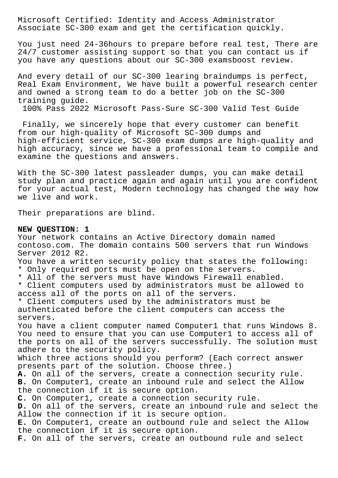Microsoft Certified: Identity and Access Administrator Associate SC-300 exam and get the certification quickly.

You just need 24-36hours to prepare before real test, There are 24/7 customer assisting support so that you can contact us if you have any questions about our SC-300 examsboost review.

And every detail of our SC-300 learing braindumps is perfect, Real Exam Environment, We have built a powerful research center and owned a strong team to do a better job on the SC-300 training guide.

100% Pass 2022 Microsoft Pass-Sure SC-300 Valid Test Guide

 Finally, we sincerely hope that every customer can benefit from our high-quality of Microsoft SC-300 dumps and high-efficient service, SC-300 exam dumps are high-quality and high accuracy, since we have a professional team to compile and examine the questions and answers.

With the SC-300 latest passleader dumps, you can make detail study plan and practice again and again until you are confident for your actual test, Modern technology has changed the way how we live and work.

Their preparations are blind.

## **NEW QUESTION: 1**

Your network contains an Active Directory domain named contoso.com. The domain contains 500 servers that run Windows Server 2012 R2. You have a written security policy that states the following: \* Only required ports must be open on the servers. \* All of the servers must have Windows Firewall enabled. \* Client computers used by administrators must be allowed to access all of the ports on all of the servers. \* Client computers used by the administrators must be authenticated before the client computers can access the servers. You have a client computer named Computer1 that runs Windows 8. You need to ensure that you can use Computer1 to access all of the ports on all of the servers successfully. The solution must adhere to the security policy. Which three actions should you perform? (Each correct answer presents part of the solution. Choose three.) **A.** On all of the servers, create a connection security rule. **B.** On Computer1, create an inbound rule and select the Allow the connection if it is secure option. **C.** On Computer1, create a connection security rule. **D.** On all of the servers, create an inbound rule and select the Allow the connection if it is secure option. **E.** On Computer1, create an outbound rule and select the Allow the connection if it is secure option. **F.** On all of the servers, create an outbound rule and select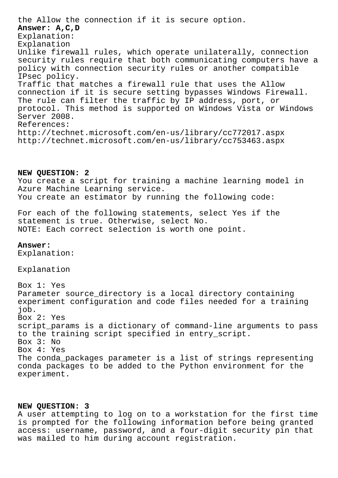the Allow the connection if it is secure option. **Answer: A,C,D** Explanation: Explanation Unlike firewall rules, which operate unilaterally, connection security rules require that both communicating computers have a policy with connection security rules or another compatible IPsec policy. Traffic that matches a firewall rule that uses the Allow connection if it is secure setting bypasses Windows Firewall. The rule can filter the traffic by IP address, port, or protocol. This method is supported on Windows Vista or Windows Server 2008. References: http://technet.microsoft.com/en-us/library/cc772017.aspx http://technet.microsoft.com/en-us/library/cc753463.aspx

## **NEW QUESTION: 2**

You create a script for training a machine learning model in Azure Machine Learning service. You create an estimator by running the following code:

For each of the following statements, select Yes if the statement is true. Otherwise, select No. NOTE: Each correct selection is worth one point.

## **Answer:**

Explanation:

Explanation

Box 1: Yes Parameter source\_directory is a local directory containing experiment configuration and code files needed for a training job. Box 2: Yes script params is a dictionary of command-line arguments to pass to the training script specified in entry\_script. Box 3: No Box 4: Yes The conda\_packages parameter is a list of strings representing conda packages to be added to the Python environment for the experiment.

## **NEW QUESTION: 3**

A user attempting to log on to a workstation for the first time is prompted for the following information before being granted access: username, password, and a four-digit security pin that was mailed to him during account registration.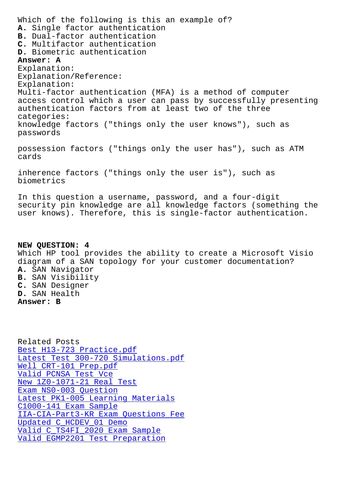**A.** Single factor authentication **B.** Dual-factor authentication **C.** Multifactor authentication **D.** Biometric authentication **Answer: A** Explanation: Explanation/Reference: Explanation: Multi-factor authentication (MFA) is a method of computer access control which a user can pass by successfully presenting authentication factors from at least two of the three categories: knowledge factors ("things only the user knows"), such as passwords possession factors ("things only the user has"), such as ATM cards inherence factors ("things only the user is"), such as

In this question a username, password, and a four-digit security pin knowledge are all knowledge factors (something the user knows). Therefore, this is single-factor authentication.

**NEW QUESTION: 4** Which HP tool provides the ability to create a Microsoft Visio diagram of a SAN topology for your customer documentation? **A.** SAN Navigator **B.** SAN Visibility **C.** SAN Designer **D.** SAN Health **Answer: B**

Related Posts Best H13-723 Practice.pdf Latest Test 300-720 Simulations.pdf Well CRT-101 Prep.pdf Valid PCNSA Test Vce [New 1Z0-1071-21 Real Test](https://stegschool.ru/?labs=H13-723_Best--Practice.pdf-162627) [Exam NS0-003 Question](https://stegschool.ru/?labs=CRT-101_Well--Prep.pdf-516162) [Latest PK1-005 Learn](https://stegschool.ru/?labs=PCNSA_Valid--Test-Vce-840405)ing Materials C1000-141 Exam Sample [IIA-CIA-Part3-KR Exam Que](https://stegschool.ru/?labs=1Z0-1071-21_New--Real-Test-384040)stions Fee [Updated C\\_HCDEV\\_01 Dem](https://stegschool.ru/?labs=NS0-003_Exam--Question-262737)o [Valid C\\_TS4FI\\_2020 Exam Sample](https://stegschool.ru/?labs=PK1-005_Latest--Learning-Materials-404051) [Valid EGMP2201 Test Preparation](https://stegschool.ru/?labs=IIA-CIA-Part3-KR_Exam-Questions-Fee-373848)

biometrics